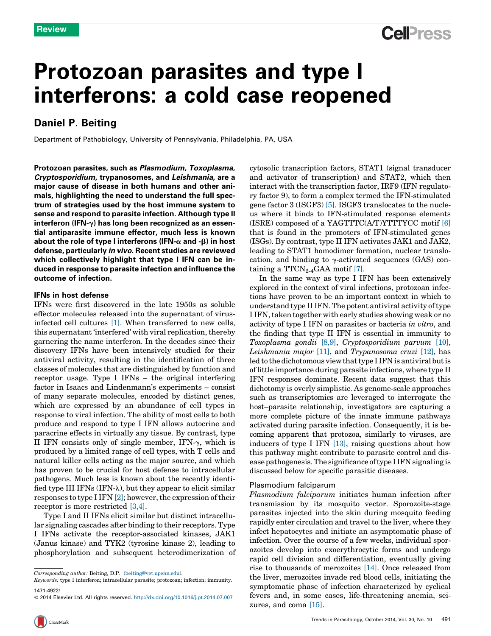## **Cell**<sup>ress</sup>

# Protozoan parasites and type I interferons: a cold case reopened

## Daniel P. Beiting

Department of Pathobiology, University of Pennsylvania, Philadelphia, PA, USA

Protozoan parasites, such as Plasmodium, Toxoplasma, Cryptosporidium, trypanosomes, and Leishmania, are a major cause of disease in both humans and other animals, highlighting the need to understand the full spectrum of strategies used by the host immune system to sense and respond to parasite infection. Although type II interferon (IFN- $\gamma$ ) has long been recognized as an essential antiparasite immune effector, much less is known about the role of type I interferons (IFN- $\alpha$  and - $\beta$ ) in host defense, particularly in vivo. Recent studies are reviewed which collectively highlight that type I IFN can be induced in response to parasite infection and influence the outcome of infection.

#### IFNs in host defense

IFNs were first discovered in the late 1950s as soluble effector molecules released into the supernatant of virusinfected cell cultures [\[1\].](#page-5-0) When transferred to new cells, this supernatant 'interfered' with viral replication, thereby garnering the name interferon. In the decades since their discovery IFNs have been intensively studied for their antiviral activity, resulting in the identification of three classes of molecules that are distinguished by function and receptor usage. Type I IFNs – the original interfering factor in Isaacs and Lindenmann's experiments – consist of many separate molecules, encoded by distinct genes, which are expressed by an abundance of cell types in response to viral infection. The ability of most cells to both produce and respond to type I IFN allows autocrine and paracrine effects in virtually any tissue. By contrast, type II IFN consists only of single member, IFN- $\gamma$ , which is produced by a limited range of cell types, with T cells and natural killer cells acting as the major source, and which has proven to be crucial for host defense to intracellular pathogens. Much less is known about the recently identified type III IFNs  $(IFN-\lambda)$ , but they appear to elicit similar responses to type I IFN  $[2]$ ; however, the expression of their receptor is more restricted [\[3,4\]](#page-5-0).

Type I and II IFNs elicit similar but distinct intracellular signaling cascades after binding to their receptors. Type I IFNs activate the receptor-associated kinases, JAK1 (Janus kinase) and TYK2 (tyrosine kinase 2), leading to phosphorylation and subsequent heterodimerization of cytosolic transcription factors, STAT1 (signal transducer and activator of transcription) and STAT2, which then interact with the transcription factor, IRF9 (IFN regulatory factor 9), to form a complex termed the IFN-stimulated gene factor 3 (ISGF3) [\[5\].](#page-5-0) ISGF3 translocates to the nucleus where it binds to IFN-stimulated response elements (ISRE) composed of a YAGTTTC(A/T)YTTTYCC motif [\[6\]](#page-5-0) that is found in the promoters of IFN-stimulated genes (ISGs). By contrast, type II IFN activates JAK1 and JAK2, leading to STAT1 homodimer formation, nuclear translocation, and binding to  $\gamma$ -activated sequences (GAS) containing a  $TTCN_{2-4}GAA$  motif [\[7\].](#page-5-0)

In the same way as type I IFN has been extensively explored in the context of viral infections, protozoan infections have proven to be an important context in which to understand type II IFN. The potent antiviral activity of type I IFN, taken together with early studies showing weak or no activity of type I IFN on parasites or bacteria in vitro, and the finding that type II IFN is essential in immunity to Toxoplasma gondii [\[8,9\],](#page-5-0) Cryptosporidium parvum [\[10\]](#page-5-0), Leishmania major [\[11\]](#page-5-0), and Trypanosoma cruzi [\[12\]](#page-5-0), has led to the dichotomous viewthattype I IFN is antiviral butis of little importance during parasite infections, where type II IFN responses dominate. Recent data suggest that this dichotomy is overly simplistic. As genome-scale approaches such as transcriptomics are leveraged to interrogate the host–parasite relationship, investigators are capturing a more complete picture of the innate immune pathways activated during parasite infection. Consequently, it is becoming apparent that protozoa, similarly to viruses, are inducers of type I IFN [\[13\],](#page-5-0) raising questions about how this pathway might contribute to parasite control and disease pathogenesis.The significance oftype I IFN signaling is discussed below for specific parasitic diseases.

#### Plasmodium falciparum

Plasmodium falciparum initiates human infection after transmission by its mosquito vector. Sporozoite-stage parasites injected into the skin during mosquito feeding rapidly enter circulation and travel to the liver, where they infect hepatocytes and initiate an asymptomatic phase of infection. Over the course of a few weeks, individual sporozoites develop into exoerythrocytic forms and undergo rapid cell division and differentiation, eventually giving rise to thousands of merozoites [\[14\].](#page-5-0) Once released from the liver, merozoites invade red blood cells, initiating the symptomatic phase of infection characterized by cyclical fevers and, in some cases, life-threatening anemia, seizures, and coma [\[15\]](#page-5-0).

Corresponding author: Beiting, D.P. ([beiting@vet.upenn.edu](mailto:beiting@vet.upenn.edu)).

<sup>1471-4922/</sup> Keywords: type I interferon; intracellular parasite; protozoan; infection; immunity.

<sup>© 2014</sup> Elsevier Ltd. All rights reserved. <http://dx.doi.org/10.1016/j.pt.2014.07.007>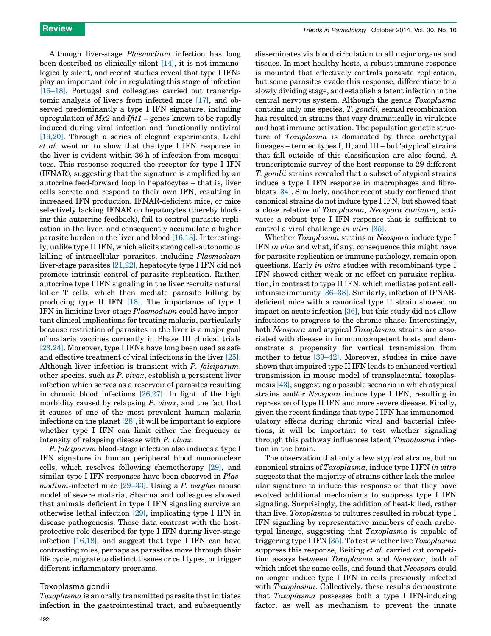Although liver-stage Plasmodium infection has long been described as clinically silent [\[14\],](#page-5-0) it is not immunologically silent, and recent studies reveal that type I IFNs play an important role in regulating this stage of infection [\[16–18\].](#page-5-0) Portugal and colleagues carried out transcriptomic analysis of livers from infected mice [\[17\],](#page-5-0) and observed predominantly a type I IFN signature, including upregulation of  $Mx2$  and  $If it1$  – genes known to be rapidly induced during viral infection and functionally antiviral [\[19,20\]](#page-5-0). Through a series of elegant experiments, Liehl et al. went on to show that the type I IFN response in the liver is evident within 36 h of infection from mosquitoes. This response required the receptor for type I IFN (IFNAR), suggesting that the signature is amplified by an autocrine feed-forward loop in hepatocytes – that is, liver cells secrete and respond to their own IFN, resulting in increased IFN production. IFNAR-deficient mice, or mice selectively lacking IFNAR on hepatocytes (thereby blocking this autocrine feedback), fail to control parasite replication in the liver, and consequently accumulate a higher parasite burden in the liver and blood [\[16,18\]](#page-5-0). Interestingly, unlike type II IFN, which elicits strong cell-autonomous killing of intracellular parasites, including Plasmodium liver-stage parasites [\[21,22\]](#page-5-0), hepatocyte type I IFN did not promote intrinsic control of parasite replication. Rather, autocrine type I IFN signaling in the liver recruits natural killer T cells, which then mediate parasite killing by producing type II IFN [\[18\]](#page-5-0). The importance of type I IFN in limiting liver-stage Plasmodium could have important clinical implications for treating malaria, particularly because restriction of parasites in the liver is a major goal of malaria vaccines currently in Phase III clinical trials [\[23,24\]](#page-5-0). Moreover, type I IFNs have long been used as safe and effective treatment of viral infections in the liver [\[25\]](#page-5-0). Although liver infection is transient with P. falciparum, other species, such as P. vivax, establish a persistent liver infection which serves as a reservoir of parasites resulting in chronic blood infections [\[26,27\]](#page-5-0). In light of the high morbidity caused by relapsing P. vivax, and the fact that it causes of one of the most prevalent human malaria infections on the planet [\[28\],](#page-5-0) it will be important to explore whether type I IFN can limit either the frequency or intensity of relapsing disease with P. vivax.

P. falciparum blood-stage infection also induces a type I IFN signature in human peripheral blood mononuclear cells, which resolves following chemotherapy [\[29\]](#page-5-0), and similar type I IFN responses have been observed in *Plas*modium-infected mice [\[29–33\]](#page-5-0). Using a P. berghei mouse model of severe malaria, Sharma and colleagues showed that animals deficient in type I IFN signaling survive an otherwise lethal infection [\[29\],](#page-5-0) implicating type I IFN in disease pathogenesis. These data contrast with the hostprotective role described for type I IFN during liver-stage infection [\[16,18\],](#page-5-0) and suggest that type I IFN can have contrasting roles, perhaps as parasites move through their life cycle, migrate to distinct tissues or cell types, or trigger different inflammatory programs.

#### Toxoplasma gondii

Toxoplasma is an orally transmitted parasite that initiates infection in the gastrointestinal tract, and subsequently disseminates via blood circulation to all major organs and tissues. In most healthy hosts, a robust immune response is mounted that effectively controls parasite replication, but some parasites evade this response, differentiate to a slowly dividing stage, and establish a latent infection in the central nervous system. Although the genus Toxoplasma contains only one species, T. gondii, sexual recombination has resulted in strains that vary dramatically in virulence and host immune activation. The population genetic structure of Toxoplasma is dominated by three archetypal lineages – termed types I, II, and III – but 'atypical' strains that fall outside of this classification are also found. A transcriptomic survey of the host response to 29 different T. gondii strains revealed that a subset of atypical strains induce a type I IFN response in macrophages and fibroblasts [\[34\]](#page-5-0). Similarly, another recent study confirmed that canonical strains do not induce type I IFN, but showed that a close relative of Toxoplasma, Neospora caninum, activates a robust type I IFN response that is sufficient to control a viral challenge in vitro [\[35\].](#page-5-0)

Whether Toxoplasma strains or Neospora induce type I IFN in vivo and what, if any, consequence this might have for parasite replication or immune pathology, remain open questions. Early in vitro studies with recombinant type I IFN showed either weak or no effect on parasite replication, in contrast to type II IFN, which mediates potent cellintrinsic immunity [\[36–38\].](#page-6-0) Similarly, infection of IFNARdeficient mice with a canonical type II strain showed no impact on acute infection [\[36\]](#page-6-0), but this study did not allow infections to progress to the chronic phase. Interestingly, both Neospora and atypical Toxoplasma strains are associated with disease in immunocompetent hosts and demonstrate a propensity for vertical transmission from mother to fetus [\[39–42\].](#page-6-0) Moreover, studies in mice have shown thatimpaired type II IFN leads to enhanced vertical transmission in mouse model of transplacental toxoplasmosis [\[43\],](#page-6-0) suggesting a possible scenario in which atypical strains and/or Neospora induce type I IFN, resulting in repression of type II IFN and more severe disease. Finally, given the recent findings that type I IFN has immunomodulatory effects during chronic viral and bacterial infections, it will be important to test whether signaling through this pathway influences latent Toxoplasma infection in the brain.

The observation that only a few atypical strains, but no canonical strains of Toxoplasma, induce type I IFN in vitro suggests that the majority of strains either lack the molecular signature to induce this response or that they have evolved additional mechanisms to suppress type I IFN signaling. Surprisingly, the addition of heat-killed, rather than live, Toxoplasma to cultures resulted in robust type I IFN signaling by representative members of each archetypal lineage, suggesting that Toxoplasma is capable of triggering type I IFN [\[35\]](#page-5-0). To test whether live Toxoplasma suppress this response, Beiting *et al.* carried out competition assays between Toxoplasma and Neospora, both of which infect the same cells, and found that Neospora could no longer induce type I IFN in cells previously infected with Toxoplasma. Collectively, these results demonstrate that Toxoplasma possesses both a type I IFN-inducing factor, as well as mechanism to prevent the innate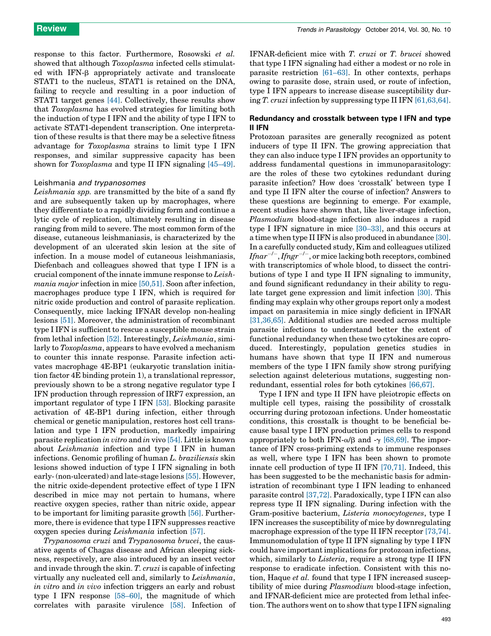response to this factor. Furthermore, Rosowski et al. showed that although *Toxoplasma* infected cells stimulated with IFN-β appropriately activate and translocate STAT1 to the nucleus, STAT1 is retained on the DNA, failing to recycle and resulting in a poor induction of STAT1 target genes [\[44\]](#page-6-0). Collectively, these results show that Toxoplasma has evolved strategies for limiting both the induction of type I IFN and the ability of type I IFN to activate STAT1-dependent transcription. One interpretation of these results is that there may be a selective fitness advantage for Toxoplasma strains to limit type I IFN responses, and similar suppressive capacity has been shown for *Toxoplasma* and type II IFN signaling [\[45–49\]](#page-6-0).

#### Leishmania and trypanosomes

Leishmania spp. are transmitted by the bite of a sand fly and are subsequently taken up by macrophages, where they differentiate to a rapidly dividing form and continue a lytic cycle of replication, ultimately resulting in disease ranging from mild to severe. The most common form of the disease, cutaneous leishmaniasis, is characterized by the development of an ulcerated skin lesion at the site of infection. In a mouse model of cutaneous leishmaniasis, Diefenbach and colleagues showed that type I IFN is a crucial component of the innate immune response to Leishmania major infection in mice [\[50,51\].](#page-6-0) Soon after infection, macrophages produce type I IFN, which is required for nitric oxide production and control of parasite replication. Consequently, mice lacking IFNAR develop non-healing lesions [\[51\].](#page-6-0) Moreover, the administration of recombinant type I IFN is sufficient to rescue a susceptible mouse strain from lethal infection [\[52\]](#page-6-0). Interestingly, Leishmania, similarly to Toxoplasma, appears to have evolved a mechanism to counter this innate response. Parasite infection activates macrophage 4E-BP1 (eukaryotic translation initiation factor 4E binding protein 1), a translational repressor, previously shown to be a strong negative regulator type I IFN production through repression of IRF7 expression, an important regulator of type I IFN [\[53\]](#page-6-0). Blocking parasite activation of 4E-BP1 during infection, either through chemical or genetic manipulation, restores host cell translation and type I IFN production, markedly impairing parasite replication in vitro and in vivo [\[54\]](#page-6-0). Little is known about Leishmania infection and type I IFN in human infections. Genomic profiling of human L. braziliensis skin lesions showed induction of type I IFN signaling in both early- (non-ulcerated) and late-stage lesions [\[55\]](#page-6-0). However, the nitric oxide-dependent protective effect of type I IFN described in mice may not pertain to humans, where reactive oxygen species, rather than nitric oxide, appear to be important for limiting parasite growth [\[56\]](#page-6-0). Furthermore, there is evidence that type I IFN suppresses reactive oxygen species during Leishmania infection [\[57\].](#page-6-0)

Trypanosoma cruzi and Trypanosoma brucei, the causative agents of Chagas disease and African sleeping sickness, respectively, are also introduced by an insect vector and invade through the skin. T. cruzi is capable of infecting virtually any nucleated cell and, similarly to Leishmania, in vitro and in vivo infection triggers an early and robust type I IFN response [\[58–60\],](#page-6-0) the magnitude of which correlates with parasite virulence [\[58\].](#page-6-0) Infection of IFNAR-deficient mice with T. cruzi or T. brucei showed that type I IFN signaling had either a modest or no role in parasite restriction [\[61–63\]](#page-6-0). In other contexts, perhaps owing to parasite dose, strain used, or route of infection, type I IFN appears to increase disease susceptibility during T. cruzi infection by suppressing type II IFN [\[61,63,64\]](#page-6-0).

### Redundancy and crosstalk between type I IFN and type II IFN

Protozoan parasites are generally recognized as potent inducers of type II IFN. The growing appreciation that they can also induce type I IFN provides an opportunity to address fundamental questions in immunoparasitology: are the roles of these two cytokines redundant during parasite infection? How does 'crosstalk' between type I and type II IFN alter the course of infection? Answers to these questions are beginning to emerge. For example, recent studies have shown that, like liver-stage infection, Plasmodium blood-stage infection also induces a rapid type I IFN signature in mice [\[30–33\]](#page-5-0), and this occurs at a time when type II IFN is also produced in abundance [\[30\]](#page-5-0). In a carefully conducted study, Kim and colleagues utilized  ${\it I} {\it finar}^{-/-}, {\it I} {\it f} {\it n} {\it gr}^{-/-},$  or mice lacking both receptors, combined with transcriptomics of whole blood, to dissect the contributions of type I and type II IFN signaling to immunity, and found significant redundancy in their ability to regulate target gene expression and limit infection [\[30\]](#page-5-0). This finding may explain why other groups report only a modest impact on parasitemia in mice singly deficient in IFNAR [\[31,36,65\]](#page-5-0). Additional studies are needed across multiple parasite infections to understand better the extent of functional redundancy when these two cytokines are coproduced. Interestingly, population genetics studies in humans have shown that type II IFN and numerous members of the type I IFN family show strong purifying selection against deleterious mutations, suggesting nonredundant, essential roles for both cytokines [\[66,67\].](#page-6-0)

Type I IFN and type II IFN have pleiotropic effects on multiple cell types, raising the possibility of crosstalk occurring during protozoan infections. Under homeostatic conditions, this crosstalk is thought to be beneficial because basal type I IFN production primes cells to respond appropriately to both IFN- $\alpha$ / $\beta$  and  $\gamma$  [\[68,69\].](#page-6-0) The importance of IFN cross-priming extends to immune responses as well, where type I IFN has been shown to promote innate cell production of type II IFN [\[70,71\].](#page-6-0) Indeed, this has been suggested to be the mechanistic basis for administration of recombinant type I IFN leading to enhanced parasite control [\[37,72\]](#page-6-0). Paradoxically, type I IFN can also repress type II IFN signaling. During infection with the Gram-positive bacterium, Listeria monocytogenes, type I IFN increases the susceptibility of mice by downregulating macrophage expression of the type II IFN receptor [\[73,74\]](#page-6-0). Immunomodulation of type II IFN signaling by type I IFN could have important implications for protozoan infections, which, similarly to *Listeria*, require a strong type II IFN response to eradicate infection. Consistent with this notion, Haque *et al.* found that type I IFN increased susceptibility of mice during Plasmodium blood-stage infection, and IFNAR-deficient mice are protected from lethal infection. The authors went on to show that type I IFN signaling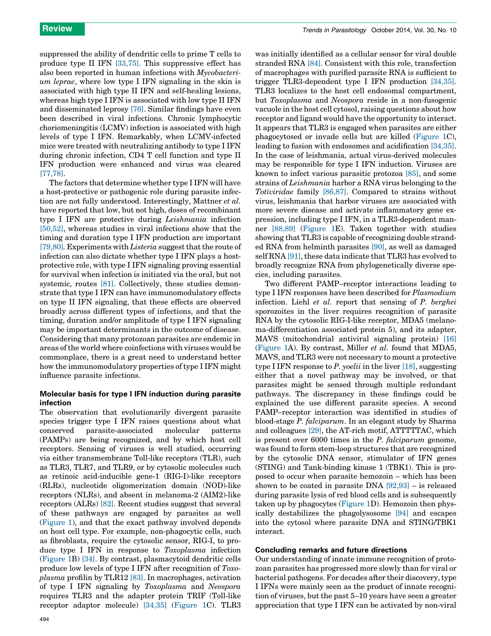suppressed the ability of dendritic cells to prime T cells to produce type II IFN [\[33,75\]](#page-5-0). This suppressive effect has also been reported in human infections with Mycobacterium leprae, where low type I IFN signaling in the skin is associated with high type II IFN and self-healing lesions, whereas high type I IFN is associated with low type II IFN and disseminated leprosy [\[76\]](#page-6-0). Similar findings have even been described in viral infections. Chronic lymphocytic choriomeningitis (LCMV) infection is associated with high levels of type I IFN. Remarkably, when LCMV-infected mice were treated with neutralizing antibody to type I IFN during chronic infection, CD4 T cell function and type II IFN production were enhanced and virus was cleared [\[77,78\]](#page-6-0).

The factors that determine whether type I IFN will have a host-protective or pathogenic role during parasite infection are not fully understood. Interestingly, Mattner et al. have reported that low, but not high, doses of recombinant type I IFN are protective during Leishmania infection [\[50,52\]](#page-6-0), whereas studies in viral infections show that the timing and duration type I IFN production are important [\[79,80\]](#page-6-0). Experiments with *Listeria* suggest that the route of infection can also dictate whether type I IFN plays a hostprotective role, with type I IFN signaling proving essential for survival when infection is initiated via the oral, but not systemic, routes [\[81\].](#page-6-0) Collectively, these studies demonstrate that type I IFN can have immunomodulatory effects on type II IFN signaling, that these effects are observed broadly across different types of infections, and that the timing, duration and/or amplitude of type I IFN signaling may be important determinants in the outcome of disease. Considering that many protozoan parasites are endemic in areas of the world where coinfections with viruses would be commonplace, there is a great need to understand better how the immunomodulatory properties of type I IFN might influence parasite infections.

## Molecular basis for type I IFN induction during parasite infection

The observation that evolutionarily divergent parasite species trigger type I IFN raises questions about what conserved parasite-associated molecular patterns (PAMPs) are being recognized, and by which host cell receptors. Sensing of viruses is well studied, occurring via either transmembrane Toll-like receptors (TLR), such as TLR3, TLR7, and TLR9, or by cytosolic molecules such as retinoic acid-inducible gene-1 (RIG-I)-like receptors (RLRs), nucleotide oligomerization domain (NOD)-like receptors (NLRs), and absent in melanoma-2 (AIM2)-like receptors (ALRs) [\[82\].](#page-6-0) Recent studies suggest that several of these pathways are engaged by parasites as well ([Figure](#page-4-0) 1), and that the exact pathway involved depends on host cell type. For example, non-phagocytic cells, such as fibroblasts, require the cytosolic sensor, RIG-I, to produce type I IFN in response to Toxoplasma infection ([Figure](#page-4-0) 1B) [\[34\].](#page-5-0) By contrast, plasmacytoid dendritic cells produce low levels of type I IFN after recognition of Toxoplasma profilin by TLR12 [\[83\].](#page-6-0) In macrophages, activation of type I IFN signaling by Toxoplasma and Neospora requires TLR3 and the adapter protein TRIF (Toll-like receptor adaptor molecule) [\[34,35\]](#page-5-0) [\(Figure](#page-4-0) 1C). TLR3 was initially identified as a cellular sensor for viral double stranded RNA [\[84\]](#page-6-0). Consistent with this role, transfection of macrophages with purified parasite RNA is sufficient to trigger TLR3-dependent type I IFN production [\[34,35\]](#page-5-0). TLR3 localizes to the host cell endosomal compartment, but Toxoplasma and Neospora reside in a non-fusogenic vacuole in the host cell cytosol, raising questions about how receptor and ligand would have the opportunity to interact. It appears that TLR3 is engaged when parasites are either phagocytosed or invade cells but are killed [\(Figure](#page-4-0) 1C), leading to fusion with endosomes and acidification [\[34,35\]](#page-5-0). In the case of leishmania, actual virus-derived molecules may be responsible for type I IFN induction. Viruses are known to infect various parasitic protozoa [\[85\]](#page-6-0), and some strains of Leishmania harbor a RNA virus belonging to the Totiviridae family [\[86,87\]](#page-6-0). Compared to strains without virus, leishmania that harbor viruses are associated with more severe disease and activate inflammatory gene expression, including type I IFN, in a TLR3-dependent manner [\[88,89\]](#page-7-0) [\(Figure](#page-4-0) 1E). Taken together with studies showing that TLR3 is capable of recognizing double stranded RNA from helminth parasites [\[90\]](#page-7-0), as well as damaged self RNA [\[91\]](#page-7-0), these data indicate that TLR3 has evolved to broadly recognize RNA from phylogenetically diverse species, including parasites.

Two different PAMP–receptor interactions leading to type I IFN responses have been described for Plasmodium infection. Liehl et al. report that sensing of P. berghei sporozoites in the liver requires recognition of parasite RNA by the cytosolic RIG-I-like receptor, MDA5 (melanoma-differentiation associated protein 5), and its adapter, MAVS (mitochondrial antiviral signaling protein) [\[16\]](#page-5-0) ([Figure](#page-4-0) 1A). By contrast, Miller et al. found that MDA5, MAVS, and TLR3 were not necessary to mount a protective type I IFN response to P. *yoelii* in the liver [\[18\]](#page-5-0), suggesting either that a novel pathway may be involved, or that parasites might be sensed through multiple redundant pathways. The discrepancy in these findings could be explained the use different parasite species. A second PAMP–receptor interaction was identified in studies of blood-stage P. falciparum. In an elegant study by Sharma and colleagues [\[29\]](#page-5-0), the AT-rich motif, ATTTTTAC, which is present over 6000 times in the P. falciparum genome, was found to form stem-loop structures that are recognized by the cytosolic DNA sensor, stimulator of IFN genes (STING) and Tank-binding kinase 1 (TBK1). This is proposed to occur when parasite hemozoin – which has been shown to be coated in parasite DNA [\[92,93\]](#page-7-0) – is released during parasite lysis of red blood cells and is subsequently taken up by phagocytes ([Figure](#page-4-0) 1D). Hemozoin then physically destabilizes the phagolysosome [\[94\]](#page-7-0) and escapes into the cytosol where parasite DNA and STING/TBK1 interact.

#### Concluding remarks and future directions

Our understanding of innate immune recognition of protozoan parasites has progressed more slowly than for viral or bacterial pathogens. For decades after their discovery, type I IFNs were mainly seen as the product of innate recognition of viruses, but the past 5–10 years have seen a greater appreciation that type I IFN can be activated by non-viral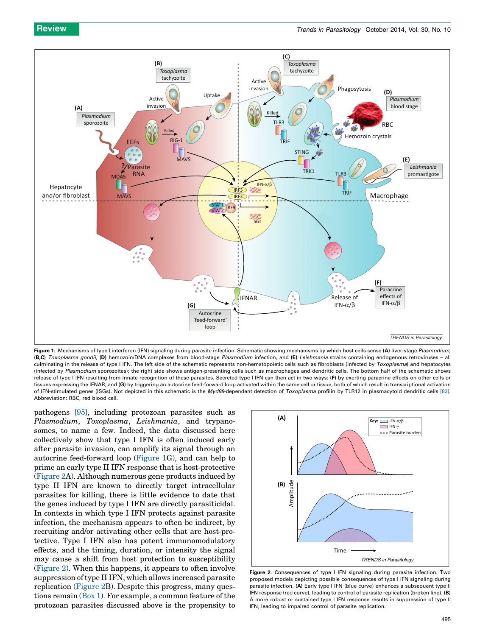<span id="page-4-0"></span>

Figure 1. Mechanisms of type I interferon (IFN) signaling during parasite infection. Schematic showing mechanisms by which host cells sense (A) liver-stage Plasmodium, (B,C) Toxoplasma gondii, (D) hemozoin/DNA complexes from blood-stage Plasmodium infection, and (E) Leishmania strains containing endogenous retroviruses - all culminating in the release of type I IFN. The left side of the schematic represents non-hematopoietic cells such as fibroblasts (infected by Toxoplasma) and hepatocytes (infected by Plasmodium sporozoites); the right side shows antigen-presenting cells such as macrophages and dendritic cells. The bottom half of the schematic shows release of type I IFN resulting from innate recognition of these parasites. Secreted type I IFN can then act in two ways: (F) by exerting paracrine effects on other cells or tissues expressing the IFNAR; and (G) by triggering an autocrine feed-forward loop activated within the same cell or tissue, both of which result in transcriptional activation of IFN-stimulated genes (ISGs). Not depicted in this schematic is the Myd88-dependent detection of Toxoplasma profilin by TLR12 in plasmacytoid dendritic cells [\[83\].](#page-6-0) Abbreviation: RBC, red blood cell.

pathogens [\[95\]](#page-7-0), including protozoan parasites such as Plasmodium, Toxoplasma, Leishmania, and trypanosomes, to name a few. Indeed, the data discussed here collectively show that type I IFN is often induced early after parasite invasion, can amplify its signal through an autocrine feed-forward loop (Figure 1G), and can help to prime an early type II IFN response that is host-protective (Figure 2A). Although numerous gene products induced by type II IFN are known to directly target intracellular parasites for killing, there is little evidence to date that the genes induced by type I IFN are directly parasiticidal. In contexts in which type I IFN protects against parasite infection, the mechanism appears to often be indirect, by recruiting and/or activating other cells that are host-protective. Type I IFN also has potent immunomodulatory effects, and the timing, duration, or intensity the signal may cause a shift from host protection to susceptibility (Figure 2). When this happens, it appears to often involve suppression of type II IFN, which allows increased parasite replication (Figure 2B). Despite this progress, many questions remain ([Box](#page-5-0) 1). For example, a common feature of the protozoan parasites discussed above is the propensity to



Figure 2. Consequences of type I IFN signaling during parasite infection. Two proposed models depicting possible consequences of type I IFN signaling during parasite infection. (A) Early type I IFN (blue curve) enhances a subsequent type II IFN response (red curve), leading to control of parasite replication (broken line). (B) A more robust or sustained type I IFN response results in suppression of type II IFN, leading to impaired control of parasite replication.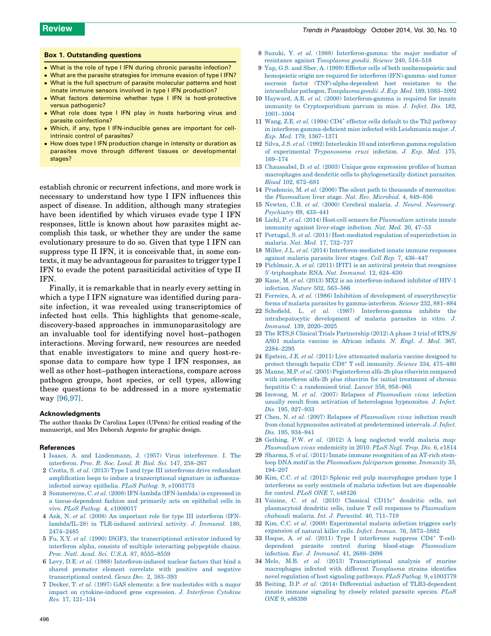#### <span id="page-5-0"></span>Box 1. Outstanding questions

- What is the role of type I IFN during chronic parasite infection?
- What are the parasite strategies for immune evasion of type I IFN? What is the full spectrum of parasite molecular patterns and host
- innate immune sensors involved in type I IFN production?
- What factors determine whether type I IFN is host-protective versus pathogenic?
- What role does type I IFN play in hosts harboring virus and parasite coinfections?
- Which, if any, type I IFN-inducible genes are important for cellintrinsic control of parasites?
- How does type I IFN production change in intensity or duration as parasites move through different tissues or developmental stages?

establish chronic or recurrent infections, and more work is necessary to understand how type I IFN influences this aspect of disease. In addition, although many strategies have been identified by which viruses evade type I IFN responses, little is known about how parasites might accomplish this task, or whether they are under the same evolutionary pressure to do so. Given that type I IFN can suppress type II IFN, it is conceivable that, in some contexts, it may be advantageous for parasites to trigger type I IFN to evade the potent parasiticidal activities of type II IFN.

Finally, it is remarkable that in nearly every setting in which a type I IFN signature was identified during parasite infection, it was revealed using transcriptomics of infected host cells. This highlights that genome-scale, discovery-based approaches in immunoparasitology are an invaluable tool for identifying novel host–pathogen interactions. Moving forward, new resources are needed that enable investigators to mine and query host-response data to compare how type I IFN responses, as well as other host–pathogen interactions, compare across pathogen groups, host species, or cell types, allowing these questions to be addressed in a more systematic way [\[96,97\]](#page-7-0).

#### Acknowledgments

The author thanks Dr Carolina Lopez (UPenn) for critical reading of the manuscript, and Mrs Deborah Argento for graphic design.

#### References

- 1 Isaacs, A. and [Lindenmann,](http://refhub.elsevier.com/S1471-4922(14)00128-7/sbref0005) J. (1957) Virus interference. I. The [interferon.](http://refhub.elsevier.com/S1471-4922(14)00128-7/sbref0005) Proc. R. Soc. Lond. B: Biol. Sci. 147, 258–267
- 2 Crotta, S. et al. (2013) Type I and type III [interferons](http://refhub.elsevier.com/S1471-4922(14)00128-7/sbref0010) drive redundant amplification loops to induce a [transcriptional](http://refhub.elsevier.com/S1471-4922(14)00128-7/sbref0010) signature in influenzainfected airway epithelia. PLoS Pathog. 9, [e1003773](http://refhub.elsevier.com/S1471-4922(14)00128-7/sbref0010)
- 3 Sommereyns, C. et al. (2008) IFN-lambda [\(IFN-lambda\)](http://refhub.elsevier.com/S1471-4922(14)00128-7/sbref0015) is expressed in a [tissue-dependent](http://refhub.elsevier.com/S1471-4922(14)00128-7/sbref0015) fashion and primarily acts on epithelial cells in vivo. PLoS Pathog. 4, [e1000017](http://refhub.elsevier.com/S1471-4922(14)00128-7/sbref0015)
- 4 Ank, N. et al. (2008) An [important](http://refhub.elsevier.com/S1471-4922(14)00128-7/sbref0020) role for type III interferon (IFN[lambda/IL-28\)](http://refhub.elsevier.com/S1471-4922(14)00128-7/sbref0020) in TLR-induced antiviral activity. J. Immunol. 180, [2474–2485](http://refhub.elsevier.com/S1471-4922(14)00128-7/sbref0020)
- 5 Fu, X.Y. et al. (1990) ISGF3, the [transcriptional](http://refhub.elsevier.com/S1471-4922(14)00128-7/sbref0025) activator induced by interferon alpha, consists of multiple interacting [polypeptide](http://refhub.elsevier.com/S1471-4922(14)00128-7/sbref0025) chains. Proc. Natl. Acad. Sci. U.S.A. 87, [8555–8559](http://refhub.elsevier.com/S1471-4922(14)00128-7/sbref0025)
- 6 Levy, D.E. et al. (1988) [Interferon-induced](http://refhub.elsevier.com/S1471-4922(14)00128-7/sbref0030) nuclear factors that bind a shared [promoter](http://refhub.elsevier.com/S1471-4922(14)00128-7/sbref0030) element correlate with positive and negative [transcriptional](http://refhub.elsevier.com/S1471-4922(14)00128-7/sbref0030) control. Genes Dev. 2, 383–393
- 7 Decker, T. et al. (1997) GAS elements: a few [nucleotides](http://refhub.elsevier.com/S1471-4922(14)00128-7/sbref0035) with a major impact on [cytokine-induced](http://refhub.elsevier.com/S1471-4922(14)00128-7/sbref0035) gene expression. J. Interferon Cytokine Res. 17, [121–134](http://refhub.elsevier.com/S1471-4922(14)00128-7/sbref0035)
- 8 Suzuki, Y. et al. (1988) [Interferon-gamma:](http://refhub.elsevier.com/S1471-4922(14)00128-7/sbref0040) the major mediator of resistance against [Toxoplasma](http://refhub.elsevier.com/S1471-4922(14)00128-7/sbref0040) gondii. Science 240, 516–518
- 9 Yap, G.S. and Sher, A. (1999) Effector cells of both [nonhemopoietic](http://refhub.elsevier.com/S1471-4922(14)00128-7/sbref0045) and hemopoietic origin are required for interferon [\(IFN\)-gamma-](http://refhub.elsevier.com/S1471-4922(14)00128-7/sbref0045) and tumor necrosis factor [\(TNF\)-alpha-dependent](http://refhub.elsevier.com/S1471-4922(14)00128-7/sbref0045) host resistance to the [intracellular](http://refhub.elsevier.com/S1471-4922(14)00128-7/sbref0045) pathogen,Toxoplasma gondii. J. Exp. Med. 189, 1083–1092
- 10 Hayward, A.R. et al. (2000) [Interferon-gamma](http://refhub.elsevier.com/S1471-4922(14)00128-7/sbref0050) is required for innate immunity to [Cryptosporidium](http://refhub.elsevier.com/S1471-4922(14)00128-7/sbref0050) parvum in mice. J. Infect. Dis. 182, [1001–1004](http://refhub.elsevier.com/S1471-4922(14)00128-7/sbref0050)
- 11 [Wang,](http://refhub.elsevier.com/S1471-4922(14)00128-7/sbref0055) Z.E. et al. (1994)  $CD4^+$  effector cells default to the Th2 [pathway](http://refhub.elsevier.com/S1471-4922(14)00128-7/sbref0055) in interferon [gamma-deficient](http://refhub.elsevier.com/S1471-4922(14)00128-7/sbref0055) mice infected with Leishmania major. J. Exp. Med. 179, [1367–1371](http://refhub.elsevier.com/S1471-4922(14)00128-7/sbref0055)
- 12 Silva, J.S. et al. (1992) [Interleukin](http://refhub.elsevier.com/S1471-4922(14)00128-7/sbref0060) 10 and interferon gamma regulation of experimental [Trypanosoma](http://refhub.elsevier.com/S1471-4922(14)00128-7/sbref0060) cruzi infection. J. Exp. Med. 175, [169–174](http://refhub.elsevier.com/S1471-4922(14)00128-7/sbref0060)
- 13 [Chaussabel,](http://refhub.elsevier.com/S1471-4922(14)00128-7/sbref0065) D. et al. (2003) Unique gene expression profiles of human macrophages and dendritic cells to [phylogenetically](http://refhub.elsevier.com/S1471-4922(14)00128-7/sbref0065) distinct parasites. Blood 102, [672–681](http://refhub.elsevier.com/S1471-4922(14)00128-7/sbref0065)
- 14 Prudencio, M. et al. (2006) The silent path to thousands of [merozoites:](http://refhub.elsevier.com/S1471-4922(14)00128-7/sbref0070) the [Plasmodium](http://refhub.elsevier.com/S1471-4922(14)00128-7/sbref0070) liver stage. Nat. Rev. Microbiol. 4, 849–856
- 15 Newton, C.R. et al. (2000) Cerebral malaria. J. Neurol. [Neurosurg.](http://refhub.elsevier.com/S1471-4922(14)00128-7/sbref0075) [Psychiatry](http://refhub.elsevier.com/S1471-4922(14)00128-7/sbref0075) 69, 433–441
- 16 Liehl, P. et al. (2014) Host-cell sensors for [Plasmodium](http://refhub.elsevier.com/S1471-4922(14)00128-7/sbref0080) activate innate immunity against [liver-stage](http://refhub.elsevier.com/S1471-4922(14)00128-7/sbref0080) infection. Nat. Med. 20, 47-53
- 17 Portugal, S. et al. (2011) [Host-mediated](http://refhub.elsevier.com/S1471-4922(14)00128-7/sbref0085) regulation of superinfection in malaria. Nat. Med. 17, [732–737](http://refhub.elsevier.com/S1471-4922(14)00128-7/sbref0085)
- 18 Miller, J.L. et al. (2014) [Interferon-mediated](http://refhub.elsevier.com/S1471-4922(14)00128-7/sbref0090) innate immune responses against malaria parasite liver stages. Cell Rep. 7, [436–447](http://refhub.elsevier.com/S1471-4922(14)00128-7/sbref0090)
- 19 Pichlmair, A. et al.  $(2011)$  IFIT1 is an antiviral protein that [recognizes](http://refhub.elsevier.com/S1471-4922(14)00128-7/sbref0095) [5](http://refhub.elsevier.com/S1471-4922(14)00128-7/sbref0095)'[-triphosphate](http://refhub.elsevier.com/S1471-4922(14)00128-7/sbref0095) RNA. Nat. Immunol. 12, 624-630
- 20 Kane, M. et al. (2013) MX2 is an [interferon-induced](http://refhub.elsevier.com/S1471-4922(14)00128-7/sbref0100) inhibitor of HIV-1 [infection.](http://refhub.elsevier.com/S1471-4922(14)00128-7/sbref0100) Nature 502, 563–566
- 21 Ferreira, A. et al. (1986) Inhibition of development of [exoerythrocytic](http://refhub.elsevier.com/S1471-4922(14)00128-7/sbref0105) forms of malaria parasites by [gamma-interferon.](http://refhub.elsevier.com/S1471-4922(14)00128-7/sbref0105) Science 232, 881–884
- 22 Schofield, L. et al. (1987) [Interferon-gamma](http://refhub.elsevier.com/S1471-4922(14)00128-7/sbref0110) inhibits the [intrahepatocytic](http://refhub.elsevier.com/S1471-4922(14)00128-7/sbref0110) development of malaria parasites in vitro. J. Immunol. 139, [2020–2025](http://refhub.elsevier.com/S1471-4922(14)00128-7/sbref0110)
- 23 The RTS,S Clinical Trials [Partnership](http://refhub.elsevier.com/S1471-4922(14)00128-7/sbref0485) (2012) A phase 3 trial of RTS,S/ AS01 [malaria](http://refhub.elsevier.com/S1471-4922(14)00128-7/sbref0485) vaccine in African infants. N. Engl. J. Med. 367, [2284–2295](http://refhub.elsevier.com/S1471-4922(14)00128-7/sbref0485)
- 24 Epstein, J.E. et al. (2011) Live [attenuated](http://refhub.elsevier.com/S1471-4922(14)00128-7/sbref0115) malaria vaccine designed to protect [through](http://refhub.elsevier.com/S1471-4922(14)00128-7/sbref0115) hepatic CD8<sup>+</sup> T cell [immunity.](http://refhub.elsevier.com/S1471-4922(14)00128-7/sbref0115) Science 334, 475–480
- 25 Manns, M.P. et al. (2001) [Peginterferon](http://refhub.elsevier.com/S1471-4922(14)00128-7/sbref0120) alfa-2b plus ribavirin compared with interferon alfa-2b plus ribavirin for initial [treatment](http://refhub.elsevier.com/S1471-4922(14)00128-7/sbref0120) of chronic hepatitis C: a [randomised](http://refhub.elsevier.com/S1471-4922(14)00128-7/sbref0120) trial. Lancet 358, 958–965
- 26 Imwong, M. et al. (2007) Relapses of [Plasmodium](http://refhub.elsevier.com/S1471-4922(14)00128-7/sbref0125) vivax infection usually result from activation of [heterologous](http://refhub.elsevier.com/S1471-4922(14)00128-7/sbref0125) hypnozoites. J. Infect. Dis. 195, [927–933](http://refhub.elsevier.com/S1471-4922(14)00128-7/sbref0125)
- 27 Chen, N. et al. (2007) Relapses of [Plasmodium](http://refhub.elsevier.com/S1471-4922(14)00128-7/sbref0130) vivax infection result from clonal hypnozoites activated at [predetermined](http://refhub.elsevier.com/S1471-4922(14)00128-7/sbref0130) intervals. J. Infect. Dis. 195, [934–941](http://refhub.elsevier.com/S1471-4922(14)00128-7/sbref0130)
- 28 Gething, P.W. et al. (2012) A long [neglected](http://refhub.elsevier.com/S1471-4922(14)00128-7/sbref0135) world malaria map: [Plasmodium](http://refhub.elsevier.com/S1471-4922(14)00128-7/sbref0135) vivax endemicity in 2010. PLoS Negl. Trop. Dis. 6, e1814
- 29 Sharma, S. et al. (2011) Innate immune [recognition](http://refhub.elsevier.com/S1471-4922(14)00128-7/sbref0140) of an AT-rich stemloop DNA motif in the [Plasmodium](http://refhub.elsevier.com/S1471-4922(14)00128-7/sbref0140) falciparum genome. Immunity 35, [194–207](http://refhub.elsevier.com/S1471-4922(14)00128-7/sbref0140)
- 30 Kim, C.C. et al. (2012) Splenic red pulp [macrophages](http://refhub.elsevier.com/S1471-4922(14)00128-7/sbref0145) produce type I interferons as early sentinels of malaria infection but are [dispensable](http://refhub.elsevier.com/S1471-4922(14)00128-7/sbref0145) for [control.](http://refhub.elsevier.com/S1471-4922(14)00128-7/sbref0145) PLoS ONE 7, e48126
- 31 Voisine, C. et al. (2010) [Classical](http://refhub.elsevier.com/S1471-4922(14)00128-7/sbref0150) CD11c<sup>+</sup> [dendritic](http://refhub.elsevier.com/S1471-4922(14)00128-7/sbref0150) cells, not [plasmacytoid](http://refhub.elsevier.com/S1471-4922(14)00128-7/sbref0150) dendritic cells, induce T cell responses to Plasmodium chabaudi malaria. Int. J. [Parasitol.](http://refhub.elsevier.com/S1471-4922(14)00128-7/sbref0150) 40, 711–719
- 32 Kim, C.C. et al. (2008) [Experimental](http://refhub.elsevier.com/S1471-4922(14)00128-7/sbref0155) malaria infection triggers early expansion of natural killer cells. Infect. Immun. 76, [5873–5882](http://refhub.elsevier.com/S1471-4922(14)00128-7/sbref0155)
- 33 Haque, A. et al.  $(2011)$  Type I [interferons](http://refhub.elsevier.com/S1471-4922(14)00128-7/sbref0160) suppress  $CD4^+$  [T-cell](http://refhub.elsevier.com/S1471-4922(14)00128-7/sbref0160)dependent parasite control during blood-stage [Plasmodium](http://refhub.elsevier.com/S1471-4922(14)00128-7/sbref0160) infection. Eur. J. Immunol. 41, [2688–2698](http://refhub.elsevier.com/S1471-4922(14)00128-7/sbref0160)
- 34 Melo, M.B. et al. (2013) [Transcriptional](http://refhub.elsevier.com/S1471-4922(14)00128-7/sbref0165) analysis of murine [macrophages](http://refhub.elsevier.com/S1471-4922(14)00128-7/sbref0165) infected with different Toxoplasma strains identifies novel [regulation](http://refhub.elsevier.com/S1471-4922(14)00128-7/sbref0165) of host signaling pathways. PLoS Pathog. 9, e1003779
- 35 Beiting, D.P. et al. (2014) Differential induction of [TLR3-dependent](http://refhub.elsevier.com/S1471-4922(14)00128-7/sbref0170) innate immune [signaling](http://refhub.elsevier.com/S1471-4922(14)00128-7/sbref0170) by closely related parasite species. PLoS ONE 9, [e88398](http://refhub.elsevier.com/S1471-4922(14)00128-7/sbref0170)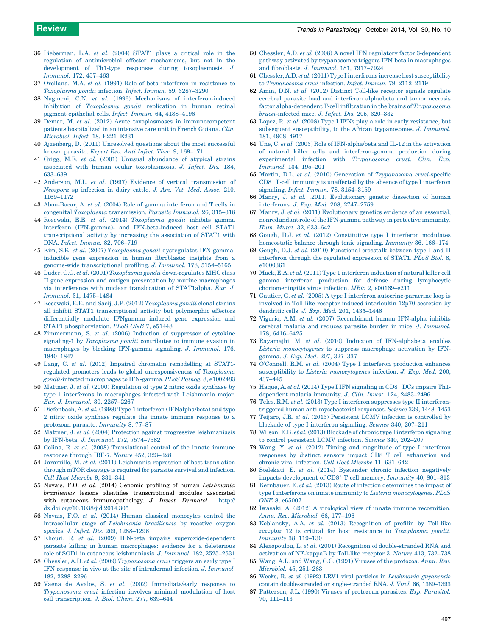- <span id="page-6-0"></span>36 [Lieberman,](http://refhub.elsevier.com/S1471-4922(14)00128-7/sbref0175) L.A. et al. (2004) STAT1 plays a critical role in the regulation of [antimicrobial](http://refhub.elsevier.com/S1471-4922(14)00128-7/sbref0175) effector mechanisms, but not in the development of Th1-type responses during [toxoplasmosis.](http://refhub.elsevier.com/S1471-4922(14)00128-7/sbref0175) J. [Immunol.](http://refhub.elsevier.com/S1471-4922(14)00128-7/sbref0175) 172, 457–463
- 37 Orellana, M.A. et al. (1991) Role of beta interferon in [resistance](http://refhub.elsevier.com/S1471-4922(14)00128-7/sbref0180) to [Toxoplasma](http://refhub.elsevier.com/S1471-4922(14)00128-7/sbref0180) gondii infection. Infect. Immun. 59, 3287–3290
- 38 Nagineni, C.N. et al. (1996) Mechanisms of [interferon-induced](http://refhub.elsevier.com/S1471-4922(14)00128-7/sbref0185) inhibition of [Toxoplasma](http://refhub.elsevier.com/S1471-4922(14)00128-7/sbref0185) gondii replication in human retinal pigment epithelial cells. Infect. Immun. 64, [4188–4196](http://refhub.elsevier.com/S1471-4922(14)00128-7/sbref0185)
- 39 Demar, M. et al. (2012) Acute toxoplasmoses in [immunocompetent](http://refhub.elsevier.com/S1471-4922(14)00128-7/sbref0190) patients [hospitalized](http://refhub.elsevier.com/S1471-4922(14)00128-7/sbref0190) in an intensive care unit in French Guiana. Clin. Microbiol. Infect. 18, [E221–E231](http://refhub.elsevier.com/S1471-4922(14)00128-7/sbref0190)
- 40 Ajzenberg, D. (2011) [Unresolved](http://refhub.elsevier.com/S1471-4922(14)00128-7/sbref0195) questions about the most successful known [parasite.](http://refhub.elsevier.com/S1471-4922(14)00128-7/sbref0195) Expert Rev. Anti Infect. Ther. 9, 169–171
- 41 Grigg, M.E. et al. (2001) Unusual [abundance](http://refhub.elsevier.com/S1471-4922(14)00128-7/sbref0200) of atypical strains associated with human ocular [toxoplasmosis.](http://refhub.elsevier.com/S1471-4922(14)00128-7/sbref0200) J. Infect. Dis. 184, [633–639](http://refhub.elsevier.com/S1471-4922(14)00128-7/sbref0200)
- 42 Anderson, M.L. et al. (1997) Evidence of vertical [transmission](http://refhub.elsevier.com/S1471-4922(14)00128-7/sbref0205) of [Neospora](http://refhub.elsevier.com/S1471-4922(14)00128-7/sbref0205) sp infection in dairy cattle. J. Am. Vet. Med. Assoc. 210, [1169–1172](http://refhub.elsevier.com/S1471-4922(14)00128-7/sbref0205)
- 43 [Abou-Bacar,](http://refhub.elsevier.com/S1471-4922(14)00128-7/sbref0210) A. et al. (2004) Role of gamma interferon and T cells in congenital Toxoplasma [transmission.](http://refhub.elsevier.com/S1471-4922(14)00128-7/sbref0210) Parasite Immunol. 26, 315–318
- 44 Rosowski, E.E. et al. (2014) [Toxoplasma](http://refhub.elsevier.com/S1471-4922(14)00128-7/sbref0215) gondii inhibits gamma interferon (IFN-gamma)- and [IFN-beta-induced](http://refhub.elsevier.com/S1471-4922(14)00128-7/sbref0215) host cell STAT1 [transcriptional](http://refhub.elsevier.com/S1471-4922(14)00128-7/sbref0215) activity by increasing the association of STAT1 with DNA. Infect. Immun. 82, [706–719](http://refhub.elsevier.com/S1471-4922(14)00128-7/sbref0215)
- 45 Kim, S.K. et al. (2007) Toxoplasma gondii dysregulates [IFN-gamma](http://refhub.elsevier.com/S1471-4922(14)00128-7/sbref0220)inducible gene expression in human [fibroblasts:](http://refhub.elsevier.com/S1471-4922(14)00128-7/sbref0220) insights from a genome-wide [transcriptional](http://refhub.elsevier.com/S1471-4922(14)00128-7/sbref0220) profiling. J. Immunol. 178, 5154–5165
- 46 Luder, C.G. et al. (2001) Toxoplasma gondii [down-regulates](http://refhub.elsevier.com/S1471-4922(14)00128-7/sbref0225) MHC class II gene expression and antigen presentation by murine [macrophages](http://refhub.elsevier.com/S1471-4922(14)00128-7/sbref0225) via interference with nuclear translocation of [STAT1alpha.](http://refhub.elsevier.com/S1471-4922(14)00128-7/sbref0225) Eur. J. Immunol. 31, [1475–1484](http://refhub.elsevier.com/S1471-4922(14)00128-7/sbref0225)
- 47 Rosowski, E.E. and Saeij, J.P. (2012) [Toxoplasma](http://refhub.elsevier.com/S1471-4922(14)00128-7/sbref0230) gondii clonal strains all inhibit STAT1 [transcriptional](http://refhub.elsevier.com/S1471-4922(14)00128-7/sbref0230) activity but polymorphic effectors [differentially](http://refhub.elsevier.com/S1471-4922(14)00128-7/sbref0230) modulate IFNgamma induced gene expression and STAT1 [phosphorylation.](http://refhub.elsevier.com/S1471-4922(14)00128-7/sbref0230) PLoS ONE 7, e51448
- 48 [Zimmermann,](http://refhub.elsevier.com/S1471-4922(14)00128-7/sbref0235) S. et al. (2006) Induction of suppressor of cytokine signaling-1 by [Toxoplasma](http://refhub.elsevier.com/S1471-4922(14)00128-7/sbref0235) gondii contributes to immune evasion in [macrophages](http://refhub.elsevier.com/S1471-4922(14)00128-7/sbref0235) by blocking IFN-gamma signaling. J. Immunol. 176, [1840–1847](http://refhub.elsevier.com/S1471-4922(14)00128-7/sbref0235)
- 49 Lang, C. et al. (2012) Impaired chromatin [remodelling](http://refhub.elsevier.com/S1471-4922(14)00128-7/sbref0240) at STAT1 regulated promoters leads to global [unresponsiveness](http://refhub.elsevier.com/S1471-4922(14)00128-7/sbref0240) of Toxoplasma gondii-infected [macrophages](http://refhub.elsevier.com/S1471-4922(14)00128-7/sbref0240) to IFN-gamma. PLoS Pathog. 8, e1002483
- 50 Mattner, J. et al. (2000) [Regulation](http://refhub.elsevier.com/S1471-4922(14)00128-7/sbref0245) of type 2 nitric oxide synthase by type 1 interferons in [macrophages](http://refhub.elsevier.com/S1471-4922(14)00128-7/sbref0245) infected with Leishmania major. Eur. J. Immunol. 30, [2257–2267](http://refhub.elsevier.com/S1471-4922(14)00128-7/sbref0245)
- 51 Diefenbach, A. et al. (1998) Type 1 interferon [\(IFNalpha/beta\)](http://refhub.elsevier.com/S1471-4922(14)00128-7/sbref0250) and type 2 nitric oxide [synthase](http://refhub.elsevier.com/S1471-4922(14)00128-7/sbref0250) regulate the innate immune response to a protozoan parasite. [Immunity](http://refhub.elsevier.com/S1471-4922(14)00128-7/sbref0250) 8, 77–87
- 52 Mattner, J. et al. (2004) Protection against progressive [leishmaniasis](http://refhub.elsevier.com/S1471-4922(14)00128-7/sbref0255) by IFN-beta. J. Immunol. 172, [7574–7582](http://refhub.elsevier.com/S1471-4922(14)00128-7/sbref0255)
- 53 Colina, R. et al. (2008) [Translational](http://refhub.elsevier.com/S1471-4922(14)00128-7/sbref0260) control of the innate immune [response](http://refhub.elsevier.com/S1471-4922(14)00128-7/sbref0260) through IRF-7. Nature 452, 323–328
- 54 Jaramillo, M. et al. (2011) [Leishmania](http://refhub.elsevier.com/S1471-4922(14)00128-7/sbref0265) repression of host translation through mTOR cleavage is required for parasite survival and [infection.](http://refhub.elsevier.com/S1471-4922(14)00128-7/sbref0265) Cell Host Microbe 9, [331–341](http://refhub.elsevier.com/S1471-4922(14)00128-7/sbref0265)
- 55 Novais, F.O. et al. (2014) Genomic profiling of human Leishmania braziliensis lesions identifies transcriptional modules associated with cutaneous immunopathology. J. Invest. Dermatol. [http://](http://dx.doi.org/10.1038/jid.2014.305) [dx.doi.org/10.1038/jid.2014.305](http://dx.doi.org/10.1038/jid.2014.305)
- 56 Novais, F.O. et al. (2014) Human classical [monocytes](http://refhub.elsevier.com/S1471-4922(14)00128-7/sbref0275) control the [intracellular](http://refhub.elsevier.com/S1471-4922(14)00128-7/sbref0275) stage of Leishmania braziliensis by reactive oxygen species. J. Infect. Dis. 209, [1288–1296](http://refhub.elsevier.com/S1471-4922(14)00128-7/sbref0275)
- 57 Khouri, R. et al. (2009) IFN-beta impairs [superoxide-dependent](http://refhub.elsevier.com/S1471-4922(14)00128-7/sbref0280) parasite killing in human [macrophages:](http://refhub.elsevier.com/S1471-4922(14)00128-7/sbref0280) evidence for a deleterious role of SOD1 in cutaneous [leishmaniasis.](http://refhub.elsevier.com/S1471-4922(14)00128-7/sbref0280) J. Immunol. 182, 2525–2531
- 58 Chessler, A.D. et al. (2009) [Trypanosoma](http://refhub.elsevier.com/S1471-4922(14)00128-7/sbref0285) cruzi triggers an early type I IFN response in vivo at the site of [intradermal](http://refhub.elsevier.com/S1471-4922(14)00128-7/sbref0285) infection. J. Immunol. 182, [2288–2296](http://refhub.elsevier.com/S1471-4922(14)00128-7/sbref0285)
- 59 Vaena de Avalos, S. et al. (2002) [Immediate/early](http://refhub.elsevier.com/S1471-4922(14)00128-7/sbref0290) response to [Trypanosoma](http://refhub.elsevier.com/S1471-4922(14)00128-7/sbref0290) cruzi infection involves minimal modulation of host cell [transcription.](http://refhub.elsevier.com/S1471-4922(14)00128-7/sbref0290) J. Biol. Chem. 277, 639–644
- 60 Chessler, A.D. et al. (2008) A novel IFN regulatory factor [3-dependent](http://refhub.elsevier.com/S1471-4922(14)00128-7/sbref0295) pathway activated by [trypanosomes](http://refhub.elsevier.com/S1471-4922(14)00128-7/sbref0295) triggers IFN-beta in macrophages and [fibroblasts.](http://refhub.elsevier.com/S1471-4922(14)00128-7/sbref0295) J. Immunol. 181, 7917–7924
- 61 Chessler, A.D. et al.(2011) Type I interferons increase host [susceptibility](http://refhub.elsevier.com/S1471-4922(14)00128-7/sbref0300) to [Trypanosoma](http://refhub.elsevier.com/S1471-4922(14)00128-7/sbref0300) cruzi infection. Infect. Immun. 79, 2112–2119
- 62 Amin, D.N. et al. (2012) Distinct Toll-like receptor signals [regulate](http://refhub.elsevier.com/S1471-4922(14)00128-7/sbref0305) cerebral parasite load and interferon [alpha/beta](http://refhub.elsevier.com/S1471-4922(14)00128-7/sbref0305) and tumor necrosis factor [alpha-dependent](http://refhub.elsevier.com/S1471-4922(14)00128-7/sbref0305) T-cell infiltration in the brains of Trypanosoma brucei[-infected](http://refhub.elsevier.com/S1471-4922(14)00128-7/sbref0305) mice. J. Infect. Dis. 205, 320–332
- 63 Lopez, R. et al. (2008) Type I IFNs play a role in early [resistance,](http://refhub.elsevier.com/S1471-4922(14)00128-7/sbref0310) but subsequent susceptibility, to the African [trypanosomes.](http://refhub.elsevier.com/S1471-4922(14)00128-7/sbref0310) J. Immunol. 181, [4908–4917](http://refhub.elsevier.com/S1471-4922(14)00128-7/sbref0310)
- 64 Une, C. et al. (2003) Role of [IFN-alpha/beta](http://refhub.elsevier.com/S1471-4922(14)00128-7/sbref0315) and IL-12 in the activation of natural killer cells and [interferon-gamma](http://refhub.elsevier.com/S1471-4922(14)00128-7/sbref0315) production during experimental infection with [Trypanosoma](http://refhub.elsevier.com/S1471-4922(14)00128-7/sbref0315) cruzi. Clin. Exp. [Immunol.](http://refhub.elsevier.com/S1471-4922(14)00128-7/sbref0315) 134, 195–201
- 65 Martin, D.L. et al. (2010) Generation of [Trypanosoma](http://refhub.elsevier.com/S1471-4922(14)00128-7/sbref0320) cruzi-specific [CD8](http://refhub.elsevier.com/S1471-4922(14)00128-7/sbref0320)<sup>+</sup> T-cell immunity is [unaffected](http://refhub.elsevier.com/S1471-4922(14)00128-7/sbref0320) by the absence of type I interferon signaling. Infect. Immun. 78, [3154–3159](http://refhub.elsevier.com/S1471-4922(14)00128-7/sbref0320)
- 66 Manry, J. et al. (2011) [Evolutionary](http://refhub.elsevier.com/S1471-4922(14)00128-7/sbref0325) genetic dissection of human [interferons.](http://refhub.elsevier.com/S1471-4922(14)00128-7/sbref0325) J. Exp. Med. 208, 2747–2759
- 67 Manry, J. et al. (2011) [Evolutionary](http://refhub.elsevier.com/S1471-4922(14)00128-7/sbref0330) genetics evidence of an essential, [nonredundant](http://refhub.elsevier.com/S1471-4922(14)00128-7/sbref0330) role ofthe IFN-gamma pathway in protective immunity. Hum. Mutat. 32, [633–642](http://refhub.elsevier.com/S1471-4922(14)00128-7/sbref0330)
- 68 Gough, D.J. et al. (2012) [Constitutive](http://refhub.elsevier.com/S1471-4922(14)00128-7/sbref0335) type I interferon modulates [homeostatic](http://refhub.elsevier.com/S1471-4922(14)00128-7/sbref0335) balance through tonic signaling. Immunity 36, 166–174
- 69 Gough, D.J. et al. (2010) [Functional](http://refhub.elsevier.com/S1471-4922(14)00128-7/sbref0340) crosstalk between type I and II interferon through the regulated [expression](http://refhub.elsevier.com/S1471-4922(14)00128-7/sbref0340) of STAT1. PLoS Biol. 8, [e1000361](http://refhub.elsevier.com/S1471-4922(14)00128-7/sbref0340)
- 70 Mack, E.A. et al. (2011) Type 1 [interferon](http://refhub.elsevier.com/S1471-4922(14)00128-7/sbref0345) induction of natural killer cell gamma interferon production for defense during [lymphocytic](http://refhub.elsevier.com/S1471-4922(14)00128-7/sbref0345) [choriomeningitis](http://refhub.elsevier.com/S1471-4922(14)00128-7/sbref0345) virus infection. MBio 2, e00169–e211
- 71 Gautier, G. et al. (2005) A type I interferon [autocrine-paracrine](http://refhub.elsevier.com/S1471-4922(14)00128-7/sbref0350) loop is involved in Toll-like receptor-induced [interleukin-12p70](http://refhub.elsevier.com/S1471-4922(14)00128-7/sbref0350) secretion by dendritic cells. J. Exp. Med. 201, [1435–1446](http://refhub.elsevier.com/S1471-4922(14)00128-7/sbref0350)
- 72 Vigario, A.M. et al. (2007) [Recombinant](http://refhub.elsevier.com/S1471-4922(14)00128-7/sbref0355) human IFN-alpha inhibits cerebral malaria and reduces parasite burden in mice. J. [Immunol.](http://refhub.elsevier.com/S1471-4922(14)00128-7/sbref0355) 178, [6416–6425](http://refhub.elsevier.com/S1471-4922(14)00128-7/sbref0355)
- 73 Rayamajhi, M. et al. (2010) Induction of [IFN-alphabeta](http://refhub.elsevier.com/S1471-4922(14)00128-7/sbref0360) enables Listeria [monocytogenes](http://refhub.elsevier.com/S1471-4922(14)00128-7/sbref0360) to suppress macrophage activation by IFNgamma. J. Exp. Med. 207, [327–337](http://refhub.elsevier.com/S1471-4922(14)00128-7/sbref0360)
- 74 O'Connell, R.M. et al. (2004) Type I interferon [production](http://refhub.elsevier.com/S1471-4922(14)00128-7/sbref0365) enhances susceptibility to Listeria [monocytogenes](http://refhub.elsevier.com/S1471-4922(14)00128-7/sbref0365) infection. J. Exp. Med. 200, [437–445](http://refhub.elsevier.com/S1471-4922(14)00128-7/sbref0365)
- 75 Haque, A. et al. (2014) Type I IFN [signaling](http://refhub.elsevier.com/S1471-4922(14)00128-7/sbref0370) in CD8<sup>-</sup> DCs [impairs](http://refhub.elsevier.com/S1471-4922(14)00128-7/sbref0370) Th1dependent malaria immunity. J. Clin. Invest. 124, [2483–2496](http://refhub.elsevier.com/S1471-4922(14)00128-7/sbref0370)
- Teles, R.M. et al. (2013) Type I interferon [suppresses](http://refhub.elsevier.com/S1471-4922(14)00128-7/sbref0375) type II interferontriggered human [anti-mycobacterial](http://refhub.elsevier.com/S1471-4922(14)00128-7/sbref0375) responses. Science 339, 1448–1453
- 77 Teijaro, J.R. et al. (2013) [Persistent](http://refhub.elsevier.com/S1471-4922(14)00128-7/sbref0380) LCMV infection is controlled by blockade of type I [interferon](http://refhub.elsevier.com/S1471-4922(14)00128-7/sbref0380) signaling. Science 340, 207–211
- 78 Wilson, E.B. et al. (2013) Blockade of chronic type I [interferon](http://refhub.elsevier.com/S1471-4922(14)00128-7/sbref0385) signaling to control [persistent](http://refhub.elsevier.com/S1471-4922(14)00128-7/sbref0385) LCMV infection. Science 340, 202–207
- 79 Wang, Y. et al. (2012) Timing and [magnitude](http://refhub.elsevier.com/S1471-4922(14)00128-7/sbref0390) of type I interferon responses by distinct sensors impact CD8 T cell [exhaustion](http://refhub.elsevier.com/S1471-4922(14)00128-7/sbref0390) and chronic viral [infection.](http://refhub.elsevier.com/S1471-4922(14)00128-7/sbref0390) Cell Host Microbe 11, 631–642
- 80 Stelekati, E. et al. (2014) [Bystander](http://refhub.elsevier.com/S1471-4922(14)00128-7/sbref0395) chronic infection negatively impacts [development](http://refhub.elsevier.com/S1471-4922(14)00128-7/sbref0395) of CD8<sup>+</sup> T cell memory. [Immunity](http://refhub.elsevier.com/S1471-4922(14)00128-7/sbref0395) 40, 801–813
- 81 [Kernbauer,](http://refhub.elsevier.com/S1471-4922(14)00128-7/sbref0400) E. et al. (2013) Route of infection determines the impact of type I interferons on innate immunity to Listeria [monocytogenes](http://refhub.elsevier.com/S1471-4922(14)00128-7/sbref0400). PLoS ONE 8, [e65007](http://refhub.elsevier.com/S1471-4922(14)00128-7/sbref0400)
- 82 Iwasaki, A. (2012) A virological view of innate immune [recognition.](http://refhub.elsevier.com/S1471-4922(14)00128-7/sbref0405) Annu. Rev. [Microbiol.](http://refhub.elsevier.com/S1471-4922(14)00128-7/sbref0405) 66, 177–196
- 83 Koblansky, A.A. et al. (2013) [Recognition](http://refhub.elsevier.com/S1471-4922(14)00128-7/sbref0410) of profilin by Toll-like receptor 12 is critical for host resistance to [Toxoplasma](http://refhub.elsevier.com/S1471-4922(14)00128-7/sbref0410) gondii. [Immunity](http://refhub.elsevier.com/S1471-4922(14)00128-7/sbref0410) 38, 119–130
- 84 Alexopoulou, L. et al. (2001) Recognition of [double-stranded](http://refhub.elsevier.com/S1471-4922(14)00128-7/sbref0415) RNA and activation of [NF-kappaB](http://refhub.elsevier.com/S1471-4922(14)00128-7/sbref0415) by Toll-like receptor 3. Nature 413, 732–738
- 85 Wang, A.L. and Wang, C.C. (1991) Viruses of the [protozoa.](http://refhub.elsevier.com/S1471-4922(14)00128-7/sbref0420) Annu. Rev. [Microbiol.](http://refhub.elsevier.com/S1471-4922(14)00128-7/sbref0420) 45, 251–263
- 86 Weeks, R. et al. (1992) LRV1 viral particles in [Leishmania](http://refhub.elsevier.com/S1471-4922(14)00128-7/sbref0425) guyanensis contain [double-stranded](http://refhub.elsevier.com/S1471-4922(14)00128-7/sbref0425) or single-stranded RNA. J. Virol. 66, 1389–1393
- 87 [Patterson,](http://refhub.elsevier.com/S1471-4922(14)00128-7/sbref0430) J.L. (1990) Viruses of protozoan parasites. Exp. Parasitol. 70, [111–113](http://refhub.elsevier.com/S1471-4922(14)00128-7/sbref0430)